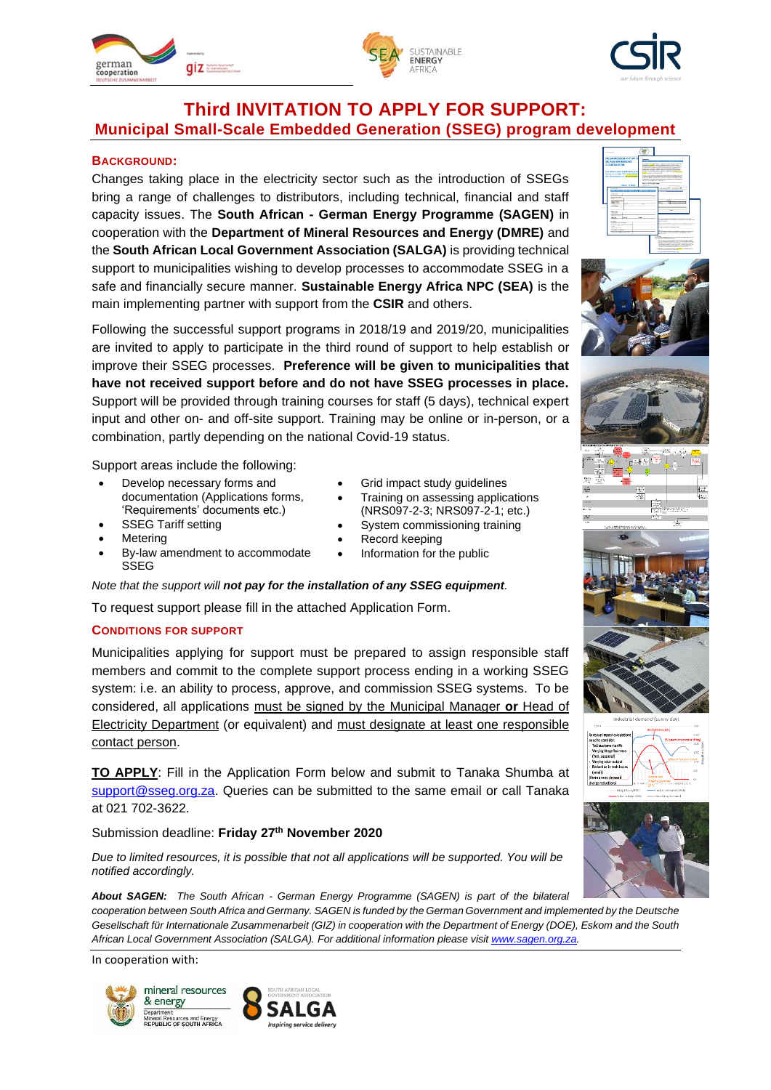





# **Third INVITATION TO APPLY FOR SUPPORT: Municipal Small-Scale Embedded Generation (SSEG) program development**

### **BACKGROUND:**

Changes taking place in the electricity sector such as the introduction of SSEGs bring a range of challenges to distributors, including technical, financial and staff capacity issues. The **South African - German Energy Programme (SAGEN)** in cooperation with the **Department of Mineral Resources and Energy (DMRE)** and the **South African Local Government Association (SALGA)** is providing technical support to municipalities wishing to develop processes to accommodate SSEG in a safe and financially secure manner. **Sustainable Energy Africa NPC (SEA)** is the main implementing partner with support from the **CSIR** and others.

Following the successful support programs in 2018/19 and 2019/20, municipalities are invited to apply to participate in the third round of support to help establish or improve their SSEG processes. **Preference will be given to municipalities that have not received support before and do not have SSEG processes in place.**  Support will be provided through training courses for staff (5 days), technical expert input and other on- and off-site support. Training may be online or in-person, or a combination, partly depending on the national Covid-19 status.

Support areas include the following:

- Develop necessary forms and documentation (Applications forms, 'Requirements' documents etc.) **SSEG Tariff setting**
- Grid impact study quidelines
- Training on assessing applications
	- (NRS097-2-3; NRS097-2-1; etc.)
- System commissioning training • Record keeping
- Information for the public
- 
- By-law amendment to accommodate SSEG
- *Note that the support will not pay for the installation of any SSEG equipment.*

To request support please fill in the attached Application Form.

#### **CONDITIONS FOR SUPPORT**

**Metering** 

Municipalities applying for support must be prepared to assign responsible staff members and commit to the complete support process ending in a working SSEG system: i.e. an ability to process, approve, and commission SSEG systems. To be considered, all applications must be signed by the Municipal Manager **or** Head of Electricity Department (or equivalent) and must designate at least one responsible contact person.

**TO APPLY**: Fill in the Application Form below and submit to Tanaka Shumba at [support@sseg.org.za.](mailto:support@sseg.org.za) Queries can be submitted to the same email or call Tanaka at 021 702-3622.

Submission deadline: **Friday 27th November 2020**

*Due to limited resources, it is possible that not all applications will be supported. You will be notified accordingly.*

*About SAGEN: The South African - German Energy Programme (SAGEN) is part of the bilateral cooperation between South Africa and Germany. SAGEN is funded by the German Government and implemented by the Deutsche Gesellschaft für Internationale Zusammenarbeit (GIZ) in cooperation with the Department of Energy (DOE), Eskom and the South African Local Government Association (SALGA). For additional information please visi[t www.sagen.org.za.](http://www.sagen.org.za/)*

In cooperation with:

















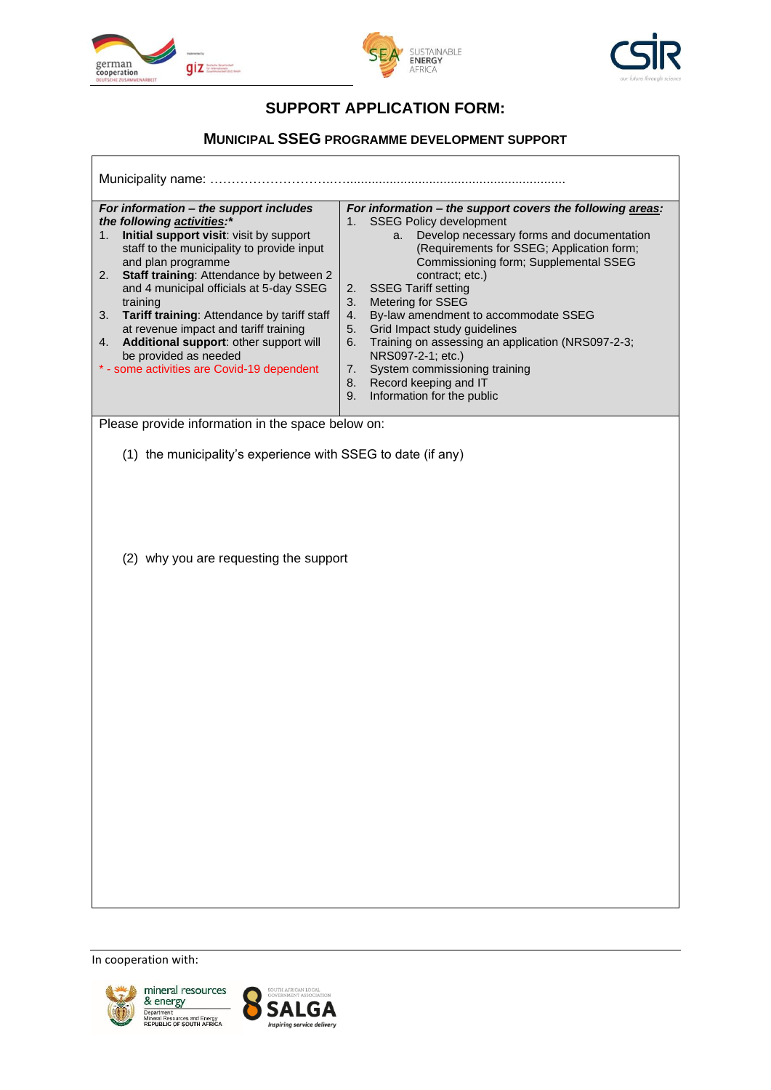

 $\mathsf{r}$ 





# **SUPPORT APPLICATION FORM:**

## **MUNICIPAL SSEG PROGRAMME DEVELOPMENT SUPPORT**

| Municipality name:                         |                                                    |    |                                                           |  |
|--------------------------------------------|----------------------------------------------------|----|-----------------------------------------------------------|--|
| For information – the support includes     |                                                    |    | For information - the support covers the following areas: |  |
| the following activities:*                 |                                                    |    | <b>SSEG Policy development</b>                            |  |
| 1.                                         | <b>Initial support visit:</b> visit by support     |    | a. Develop necessary forms and documentation              |  |
|                                            | staff to the municipality to provide input         |    | (Requirements for SSEG; Application form;                 |  |
| and plan programme                         |                                                    |    | Commissioning form; Supplemental SSEG                     |  |
| 2.                                         | <b>Staff training: Attendance by between 2</b>     |    | contract; etc.)                                           |  |
|                                            | and 4 municipal officials at 5-day SSEG            |    | 2. SSEG Tariff setting                                    |  |
| training                                   |                                                    | 3. | <b>Metering for SSEG</b>                                  |  |
| 3.                                         | <b>Tariff training:</b> Attendance by tariff staff | 4. | By-law amendment to accommodate SSEG                      |  |
|                                            | at revenue impact and tariff training              | 5. | Grid Impact study quidelines                              |  |
| 4.                                         | Additional support: other support will             | 6. | Training on assessing an application (NRS097-2-3;         |  |
| be provided as needed                      |                                                    |    | NRS097-2-1; etc.)                                         |  |
| * - some activities are Covid-19 dependent |                                                    | 7. | System commissioning training                             |  |
|                                            |                                                    | 8. | Record keeping and IT                                     |  |
|                                            |                                                    | 9. | Information for the public                                |  |

Please provide information in the space below on:

(1) the municipality's experience with SSEG to date (if any)

(2) why you are requesting the support

In cooperation with: